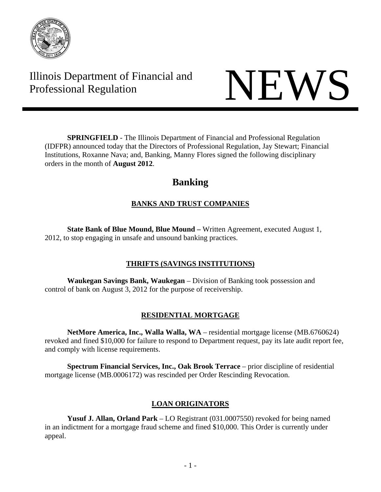

Illinois Department of Financial and Illinois Department of Financial and<br>Professional Regulation NEWS



**SPRINGFIELD** - The Illinois Department of Financial and Professional Regulation (IDFPR) announced today that the Directors of Professional Regulation, Jay Stewart; Financial Institutions, Roxanne Nava; and, Banking, Manny Flores signed the following disciplinary orders in the month of **August 2012**.

# **Banking**

# **BANKS AND TRUST COMPANIES**

 **State Bank of Blue Mound, Blue Mound –** Written Agreement, executed August 1, 2012, to stop engaging in unsafe and unsound banking practices.

# **THRIFTS (SAVINGS INSTITUTIONS)**

 **Waukegan Savings Bank, Waukegan** – Division of Banking took possession and control of bank on August 3, 2012 for the purpose of receivership.

# **RESIDENTIAL MORTGAGE**

 **NetMore America, Inc., Walla Walla, WA** – residential mortgage license (MB.6760624) revoked and fined \$10,000 for failure to respond to Department request, pay its late audit report fee, and comply with license requirements.

**Spectrum Financial Services, Inc., Oak Brook Terrace** – prior discipline of residential mortgage license (MB.0006172) was rescinded per Order Rescinding Revocation.

# **LOAN ORIGINATORS**

 **Yusuf J. Allan, Orland Park** – LO Registrant (031.0007550) revoked for being named in an indictment for a mortgage fraud scheme and fined \$10,000. This Order is currently under appeal.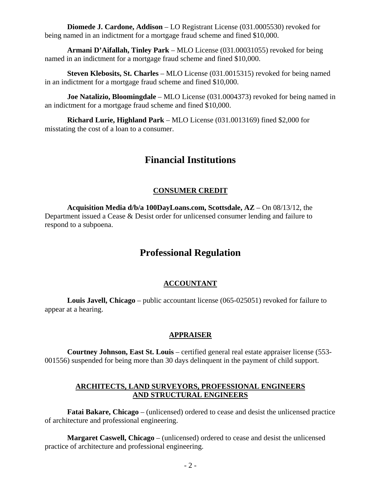**Diomede J. Cardone, Addison** – LO Registrant License (031.0005530) revoked for being named in an indictment for a mortgage fraud scheme and fined \$10,000.

**Armani D'Aifallah, Tinley Park** – MLO License (031.00031055) revoked for being named in an indictment for a mortgage fraud scheme and fined \$10,000.

**Steven Klebosits, St. Charles** – MLO License (031.0015315) revoked for being named in an indictment for a mortgage fraud scheme and fined \$10,000.

**Joe Natalizio, Bloomingdale** – MLO License (031.0004373) revoked for being named in an indictment for a mortgage fraud scheme and fined \$10,000.

**Richard Lurie, Highland Park** – MLO License (031.0013169) fined \$2,000 for misstating the cost of a loan to a consumer.

# **Financial Institutions**

## **CONSUMER CREDIT**

 **Acquisition Media d/b/a 100DayLoans.com, Scottsdale, AZ** – On 08/13/12, the Department issued a Cease & Desist order for unlicensed consumer lending and failure to respond to a subpoena.

# **Professional Regulation**

#### **ACCOUNTANT**

 **Louis Javell, Chicago** – public accountant license (065-025051) revoked for failure to appear at a hearing.

#### **APPRAISER**

 **Courtney Johnson, East St. Louis** – certified general real estate appraiser license (553- 001556) suspended for being more than 30 days delinquent in the payment of child support.

#### **ARCHITECTS, LAND SURVEYORS, PROFESSIONAL ENGINEERS AND STRUCTURAL ENGINEERS**

 **Fatai Bakare, Chicago** – (unlicensed) ordered to cease and desist the unlicensed practice of architecture and professional engineering.

 **Margaret Caswell, Chicago** – (unlicensed) ordered to cease and desist the unlicensed practice of architecture and professional engineering.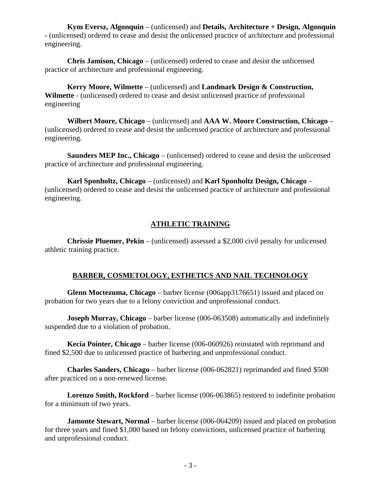**Kym Eversz, Algonquin** – (unlicensed) and **Details, Architecture + Design, Algonquin -** (unlicensed) ordered to cease and desist the unlicensed practice of architecture and professional engineering.

 **Chris Jamison, Chicago** – (unlicensed) ordered to cease and desist the unlicensed practice of architecture and professional engineering.

 **Kerry Moore, Wilmette** – (unlicensed) and **Landmark Design & Construction, Wilmette** - (unlicensed) ordered to cease and desist unlicensed practice of professional engineering

 **Wilbert Moore, Chicago** – (unlicensed) and **AAA W. Moore Construction, Chicago** – (unlicensed) ordered to cease and desist the unlicensed practice of architecture and professional engineering.

 **Saunders MEP Inc., Chicago** – (unlicensed) ordered to cease and desist the unlicensed practice of architecture and professional engineering.

 **Karl Sponholtz, Chicago** – (unlicensed) and **Karl Sponholtz Design, Chicago** – (unlicensed) ordered to cease and desist the unlicensed practice of architecture and professional engineering.

### **ATHLETIC TRAINING**

 **Chrissie Pluemer, Pekin** – (unlicensed) assessed a \$2,000 civil penalty for unlicensed athletic training practice.

## **BARBER, COSMETOLOGY, ESTHETICS AND NAIL TECHNOLOGY**

 **Glenn Moctezuma, Chicago** – barber license (006app3176651) issued and placed on probation for two years due to a felony conviction and unprofessional conduct.

**Joseph Murray, Chicago** – barber license (006-063508) automatically and indefinitely suspended due to a violation of probation.

 **Kecia Pointer, Chicago** – barber license (006-060926) reinstated with reprimand and fined \$2,500 due to unlicensed practice of barbering and unprofessional conduct.

 **Charles Sanders, Chicago** – barber license (006-062821) reprimanded and fined \$500 after practiced on a non-renewed license.

 **Lorenzo Smith, Rockford** – barber license (006-063865) restored to indefinite probation for a minimum of two years.

**Jamonte Stewart, Normal** – barber license (006-064209) issued and placed on probation for three years and fined \$1,000 based on felony convictions, unlicensed practice of barbering and unprofessional conduct.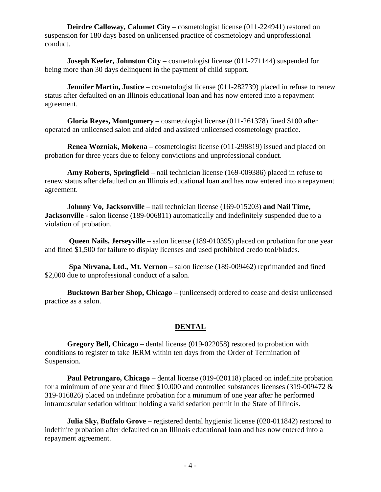**Deirdre Calloway, Calumet City** – cosmetologist license (011-224941) restored on suspension for 180 days based on unlicensed practice of cosmetology and unprofessional conduct.

**Joseph Keefer, Johnston City** – cosmetologist license (011-271144) suspended for being more than 30 days delinquent in the payment of child support.

**Jennifer Martin, Justice** – cosmetologist license (011-282739) placed in refuse to renew status after defaulted on an Illinois educational loan and has now entered into a repayment agreement.

 **Gloria Reyes, Montgomery** – cosmetologist license (011-261378) fined \$100 after operated an unlicensed salon and aided and assisted unlicensed cosmetology practice.

 **Renea Wozniak, Mokena** – cosmetologist license (011-298819) issued and placed on probation for three years due to felony convictions and unprofessional conduct.

 **Amy Roberts, Springfield** – nail technician license (169-009386) placed in refuse to renew status after defaulted on an Illinois educational loan and has now entered into a repayment agreement.

 **Johnny Vo, Jacksonville** – nail technician license (169-015203) **and Nail Time, Jacksonville** - salon license (189-006811) automatically and indefinitely suspended due to a violation of probation.

**Queen Nails, Jerseyville** – salon license (189-010395) placed on probation for one year and fined \$1,500 for failure to display licenses and used prohibited credo tool/blades.

 **Spa Nirvana, Ltd., Mt. Vernon** – salon license (189-009462) reprimanded and fined \$2,000 due to unprofessional conduct of a salon.

 **Bucktown Barber Shop, Chicago** – (unlicensed) ordered to cease and desist unlicensed practice as a salon.

#### **DENTAL**

 **Gregory Bell, Chicago** – dental license (019-022058) restored to probation with conditions to register to take JERM within ten days from the Order of Termination of Suspension.

**Paul Petrungaro, Chicago** – dental license (019-020118) placed on indefinite probation for a minimum of one year and fined \$10,000 and controlled substances licenses (319-009472 & 319-016826) placed on indefinite probation for a minimum of one year after he performed intramuscular sedation without holding a valid sedation permit in the State of Illinois.

**Julia Sky, Buffalo Grove** – registered dental hygienist license (020-011842) restored to indefinite probation after defaulted on an Illinois educational loan and has now entered into a repayment agreement.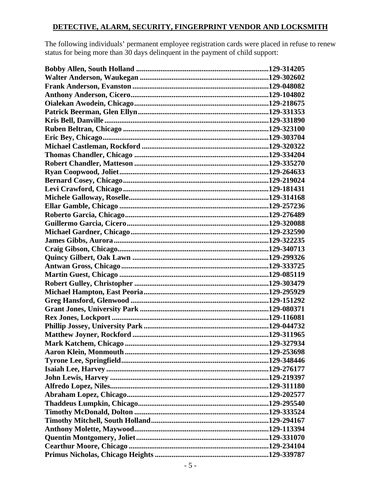#### **DETECTIVE, ALARM, SECURITY, FINGERPRINT VENDOR AND LOCKSMITH**

The following individuals' permanent employee registration cards were placed in refuse to renew status for being more than 30 days delinquent in the payment of child support: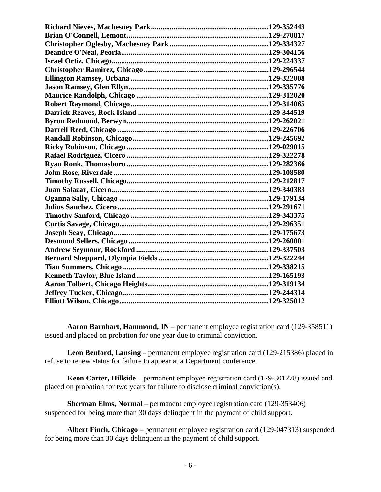**Aaron Barnhart, Hammond, IN** – permanent employee registration card (129-358511) issued and placed on probation for one year due to criminal conviction.

 **Leon Benford, Lansing** – permanent employee registration card (129-215386) placed in refuse to renew status for failure to appear at a Department conference.

 **Keon Carter, Hillside** – permanent employee registration card (129-301278) issued and placed on probation for two years for failure to disclose criminal conviction(s).

 **Sherman Elms, Normal** – permanent employee registration card (129-353406) suspended for being more than 30 days delinquent in the payment of child support.

 **Albert Finch, Chicago** – permanent employee registration card (129-047313) suspended for being more than 30 days delinquent in the payment of child support.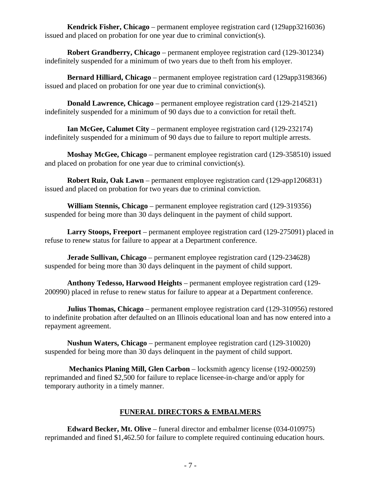**Kendrick Fisher, Chicago** – permanent employee registration card (129app3216036) issued and placed on probation for one year due to criminal conviction(s).

 **Robert Grandberry, Chicago** – permanent employee registration card (129-301234) indefinitely suspended for a minimum of two years due to theft from his employer.

 **Bernard Hilliard, Chicago** – permanent employee registration card (129app3198366) issued and placed on probation for one year due to criminal conviction(s).

 **Donald Lawrence, Chicago** – permanent employee registration card (129-214521) indefinitely suspended for a minimum of 90 days due to a conviction for retail theft.

 **Ian McGee, Calumet City** – permanent employee registration card (129-232174) indefinitely suspended for a minimum of 90 days due to failure to report multiple arrests.

 **Moshay McGee, Chicago** – permanent employee registration card (129-358510) issued and placed on probation for one year due to criminal conviction(s).

 **Robert Ruiz, Oak Lawn** – permanent employee registration card (129-app1206831) issued and placed on probation for two years due to criminal conviction.

 **William Stennis, Chicago** – permanent employee registration card (129-319356) suspended for being more than 30 days delinquent in the payment of child support.

 **Larry Stoops, Freeport** – permanent employee registration card (129-275091) placed in refuse to renew status for failure to appear at a Department conference.

 **Jerade Sullivan, Chicago** – permanent employee registration card (129-234628) suspended for being more than 30 days delinquent in the payment of child support.

 **Anthony Tedesso, Harwood Heights** – permanent employee registration card (129- 200990) placed in refuse to renew status for failure to appear at a Department conference.

 **Julius Thomas, Chicago** – permanent employee registration card (129-310956) restored to indefinite probation after defaulted on an Illinois educational loan and has now entered into a repayment agreement.

 **Nushun Waters, Chicago** – permanent employee registration card (129-310020) suspended for being more than 30 days delinquent in the payment of child support.

 **Mechanics Planing Mill, Glen Carbon** – locksmith agency license (192-000259) reprimanded and fined \$2,500 for failure to replace licensee-in-charge and/or apply for temporary authority in a timely manner.

## **FUNERAL DIRECTORS & EMBALMERS**

 **Edward Becker, Mt. Olive** – funeral director and embalmer license (034-010975) reprimanded and fined \$1,462.50 for failure to complete required continuing education hours.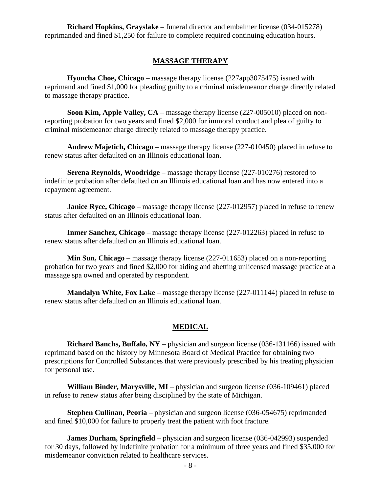**Richard Hopkins, Grayslake** – funeral director and embalmer license (034-015278) reprimanded and fined \$1,250 for failure to complete required continuing education hours.

#### **MASSAGE THERAPY**

 **Hyoncha Choe, Chicago** – massage therapy license (227app3075475) issued with reprimand and fined \$1,000 for pleading guilty to a criminal misdemeanor charge directly related to massage therapy practice.

 **Soon Kim, Apple Valley, CA** – massage therapy license (227-005010) placed on nonreporting probation for two years and fined \$2,000 for immoral conduct and plea of guilty to criminal misdemeanor charge directly related to massage therapy practice.

 **Andrew Majetich, Chicago** – massage therapy license (227-010450) placed in refuse to renew status after defaulted on an Illinois educational loan.

 **Serena Reynolds, Woodridge** – massage therapy license (227-010276) restored to indefinite probation after defaulted on an Illinois educational loan and has now entered into a repayment agreement.

**Janice Ryce, Chicago** – massage therapy license (227-012957) placed in refuse to renew status after defaulted on an Illinois educational loan.

 **Inmer Sanchez, Chicago** – massage therapy license (227-012263) placed in refuse to renew status after defaulted on an Illinois educational loan.

 **Min Sun, Chicago** – massage therapy license (227-011653) placed on a non-reporting probation for two years and fined \$2,000 for aiding and abetting unlicensed massage practice at a massage spa owned and operated by respondent.

 **Mandalyn White, Fox Lake** – massage therapy license (227-011144) placed in refuse to renew status after defaulted on an Illinois educational loan.

#### **MEDICAL**

 **Richard Banchs, Buffalo, NY** – physician and surgeon license (036-131166) issued with reprimand based on the history by Minnesota Board of Medical Practice for obtaining two prescriptions for Controlled Substances that were previously prescribed by his treating physician for personal use.

 **William Binder, Marysville, MI** – physician and surgeon license (036-109461) placed in refuse to renew status after being disciplined by the state of Michigan.

 **Stephen Cullinan, Peoria** – physician and surgeon license (036-054675) reprimanded and fined \$10,000 for failure to properly treat the patient with foot fracture.

**James Durham, Springfield** – physician and surgeon license (036-042993) suspended for 30 days, followed by indefinite probation for a minimum of three years and fined \$35,000 for misdemeanor conviction related to healthcare services.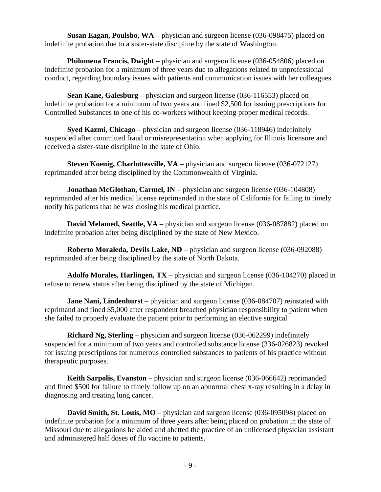**Susan Eagan, Poulsbo, WA** – physician and surgeon license (036-098475) placed on indefinite probation due to a sister-state discipline by the state of Washington.

 **Philomena Francis, Dwight** – physician and surgeon license (036-054806) placed on indefinite probation for a minimum of three years due to allegations related to unprofessional conduct, regarding boundary issues with patients and communication issues with her colleagues.

 **Sean Kane, Galesburg** – physician and surgeon license (036-116553) placed on indefinite probation for a minimum of two years and fined \$2,500 for issuing prescriptions for Controlled Substances to one of his co-workers without keeping proper medical records.

 **Syed Kazmi, Chicago** – physician and surgeon license (036-118946) indefinitely suspended after committed fraud or misrepresentation when applying for Illinois licensure and received a sister-state discipline in the state of Ohio.

**Steven Koenig, Charlottesville, VA** – physician and surgeon license (036-072127) reprimanded after being disciplined by the Commonwealth of Virginia.

**Jonathan McGlothan, Carmel, IN** – physician and surgeon license (036-104808) reprimanded after his medical license reprimanded in the state of California for failing to timely notify his patients that he was closing his medical practice.

 **David Melamed, Seattle, VA** – physician and surgeon license (036-087882) placed on indefinite probation after being disciplined by the state of New Mexico.

**Roberto Moraleda, Devils Lake, ND** – physician and surgeon license (036-092088) reprimanded after being disciplined by the state of North Dakota.

 **Adolfo Morales, Harlingen, TX** – physician and surgeon license (036-104270) placed in refuse to renew status after being disciplined by the state of Michigan.

**Jane Nani, Lindenhurst** – physician and surgeon license (036-084707) reinstated with reprimand and fined \$5,000 after respondent breached physician responsibility to patient when she failed to properly evaluate the patient prior to performing an elective surgical

 **Richard Ng, Sterling** – physician and surgeon license (036-062299) indefinitely suspended for a minimum of two years and controlled substance license (336-026823) revoked for issuing prescriptions for numerous controlled substances to patients of his practice without therapeutic purposes.

 **Keith Sarpolis, Evanston** – physician and surgeon license (036-066642) reprimanded and fined \$500 for failure to timely follow up on an abnormal chest x-ray resulting in a delay in diagnosing and treating lung cancer.

 **David Smith, St. Louis, MO** – physician and surgeon license (036-095098) placed on indefinite probation for a minimum of three years after being placed on probation in the state of Missouri due to allegations he aided and abetted the practice of an unlicensed physician assistant and administered half doses of flu vaccine to patients.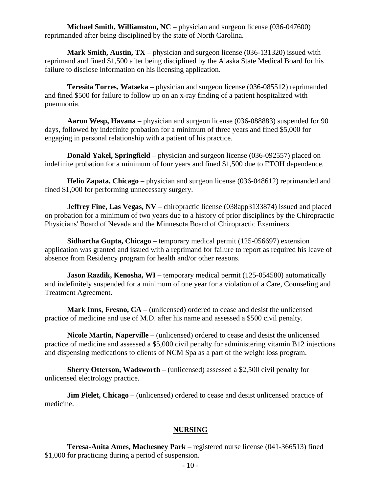**Michael Smith, Williamston, NC** – physician and surgeon license (036-047600) reprimanded after being disciplined by the state of North Carolina.

 **Mark Smith, Austin, TX** – physician and surgeon license (036-131320) issued with reprimand and fined \$1,500 after being disciplined by the Alaska State Medical Board for his failure to disclose information on his licensing application.

 **Teresita Torres, Watseka** – physician and surgeon license (036-085512) reprimanded and fined \$500 for failure to follow up on an x-ray finding of a patient hospitalized with pneumonia.

 **Aaron Wesp, Havana** – physician and surgeon license (036-088883) suspended for 90 days, followed by indefinite probation for a minimum of three years and fined \$5,000 for engaging in personal relationship with a patient of his practice.

 **Donald Yakel, Springfield** – physician and surgeon license (036-092557) placed on indefinite probation for a minimum of four years and fined \$1,500 due to ETOH dependence.

 **Helio Zapata, Chicago** – physician and surgeon license (036-048612) reprimanded and fined \$1,000 for performing unnecessary surgery.

**Jeffrey Fine, Las Vegas, NV** – chiropractic license (038app3133874) issued and placed on probation for a minimum of two years due to a history of prior disciplines by the Chiropractic Physicians' Board of Nevada and the Minnesota Board of Chiropractic Examiners.

 **Sidhartha Gupta, Chicago** – temporary medical permit (125-056697) extension application was granted and issued with a reprimand for failure to report as required his leave of absence from Residency program for health and/or other reasons.

**Jason Razdik, Kenosha, WI** – temporary medical permit (125-054580) automatically and indefinitely suspended for a minimum of one year for a violation of a Care, Counseling and Treatment Agreement.

 **Mark Inns, Fresno, CA** – (unlicensed) ordered to cease and desist the unlicensed practice of medicine and use of M.D. after his name and assessed a \$500 civil penalty.

 **Nicole Martin, Naperville** – (unlicensed) ordered to cease and desist the unlicensed practice of medicine and assessed a \$5,000 civil penalty for administering vitamin B12 injections and dispensing medications to clients of NCM Spa as a part of the weight loss program.

 **Sherry Otterson, Wadsworth** – (unlicensed) assessed a \$2,500 civil penalty for unlicensed electrology practice.

**Jim Pielet, Chicago** – (unlicensed) ordered to cease and desist unlicensed practice of medicine.

#### **NURSING**

 **Teresa-Anita Ames, Machesney Park** – registered nurse license (041-366513) fined \$1,000 for practicing during a period of suspension.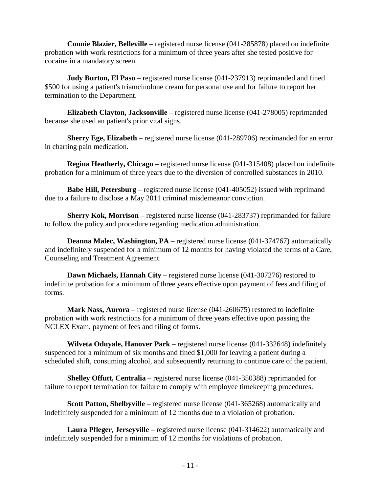**Connie Blazier, Belleville** – registered nurse license (041-285878) placed on indefinite probation with work restrictions for a minimum of three years after she tested positive for cocaine in a mandatory screen.

 **Judy Burton, El Paso** – registered nurse license (041-237913) reprimanded and fined \$500 for using a patient's triamcinolone cream for personal use and for failure to report her termination to the Department.

 **Elizabeth Clayton, Jacksonville** – registered nurse license (041-278005) reprimanded because she used an patient's prior vital signs.

 **Sherry Ege, Elizabeth** – registered nurse license (041-289706) reprimanded for an error in charting pain medication.

 **Regina Heatherly, Chicago** – registered nurse license (041-315408) placed on indefinite probation for a minimum of three years due to the diversion of controlled substances in 2010.

 **Babe Hill, Petersburg** – registered nurse license (041-405052) issued with reprimand due to a failure to disclose a May 2011 criminal misdemeanor conviction.

 **Sherry Kok, Morrison** – registered nurse license (041-283737) reprimanded for failure to follow the policy and procedure regarding medication administration.

**Deanna Malec, Washington, PA** – registered nurse license (041-374767) automatically and indefinitely suspended for a minimum of 12 months for having violated the terms of a Care, Counseling and Treatment Agreement.

 **Dawn Michaels, Hannah City** – registered nurse license (041-307276) restored to indefinite probation for a minimum of three years effective upon payment of fees and filing of forms.

**Mark Nass, Aurora** – registered nurse license (041-260675) restored to indefinite probation with work restrictions for a minimum of three years effective upon passing the NCLEX Exam, payment of fees and filing of forms.

 **Wilveta Oduyale, Hanover Park** – registered nurse license (041-332648) indefinitely suspended for a minimum of six months and fined \$1,000 for leaving a patient during a scheduled shift, consuming alcohol, and subsequently returning to continue care of the patient.

 **Shelley Offutt, Centralia** – registered nurse license (041-350388) reprimanded for failure to report termination for failure to comply with employee timekeeping procedures.

 **Scott Patton, Shelbyville** – registered nurse license (041-365268) automatically and indefinitely suspended for a minimum of 12 months due to a violation of probation.

 **Laura Pfleger, Jerseyville** – registered nurse license (041-314622) automatically and indefinitely suspended for a minimum of 12 months for violations of probation.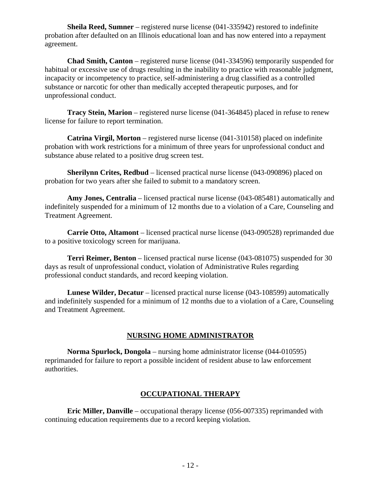**Sheila Reed, Sumner** – registered nurse license (041-335942) restored to indefinite probation after defaulted on an Illinois educational loan and has now entered into a repayment agreement.

 **Chad Smith, Canton** – registered nurse license (041-334596) temporarily suspended for habitual or excessive use of drugs resulting in the inability to practice with reasonable judgment, incapacity or incompetency to practice, self-administering a drug classified as a controlled substance or narcotic for other than medically accepted therapeutic purposes, and for unprofessional conduct.

 **Tracy Stein, Marion** – registered nurse license (041-364845) placed in refuse to renew license for failure to report termination.

 **Catrina Virgil, Morton** – registered nurse license (041-310158) placed on indefinite probation with work restrictions for a minimum of three years for unprofessional conduct and substance abuse related to a positive drug screen test.

**Sherilynn Crites, Redbud** – licensed practical nurse license (043-090896) placed on probation for two years after she failed to submit to a mandatory screen.

 **Amy Jones, Centralia** – licensed practical nurse license (043-085481) automatically and indefinitely suspended for a minimum of 12 months due to a violation of a Care, Counseling and Treatment Agreement.

 **Carrie Otto, Altamont** – licensed practical nurse license (043-090528) reprimanded due to a positive toxicology screen for marijuana.

 **Terri Reimer, Benton** – licensed practical nurse license (043-081075) suspended for 30 days as result of unprofessional conduct, violation of Administrative Rules regarding professional conduct standards, and record keeping violation.

 **Lunese Wilder, Decatur** – licensed practical nurse license (043-108599) automatically and indefinitely suspended for a minimum of 12 months due to a violation of a Care, Counseling and Treatment Agreement.

#### **NURSING HOME ADMINISTRATOR**

 **Norma Spurlock, Dongola** – nursing home administrator license (044-010595) reprimanded for failure to report a possible incident of resident abuse to law enforcement authorities.

#### **OCCUPATIONAL THERAPY**

 **Eric Miller, Danville** – occupational therapy license (056-007335) reprimanded with continuing education requirements due to a record keeping violation.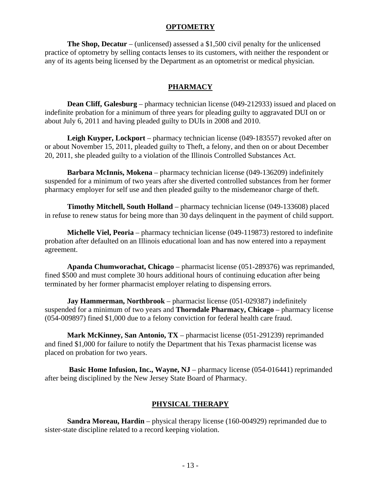#### **OPTOMETRY**

 **The Shop, Decatur** – (unlicensed) assessed a \$1,500 civil penalty for the unlicensed practice of optometry by selling contacts lenses to its customers, with neither the respondent or any of its agents being licensed by the Department as an optometrist or medical physician.

## **PHARMACY**

**Dean Cliff, Galesburg** – pharmacy technician license (049-212933) issued and placed on indefinite probation for a minimum of three years for pleading guilty to aggravated DUI on or about July 6, 2011 and having pleaded guilty to DUIs in 2008 and 2010.

 **Leigh Kuyper, Lockport** – pharmacy technician license (049-183557) revoked after on or about November 15, 2011, pleaded guilty to Theft, a felony, and then on or about December 20, 2011, she pleaded guilty to a violation of the Illinois Controlled Substances Act.

 **Barbara McInnis, Mokena** – pharmacy technician license (049-136209) indefinitely suspended for a minimum of two years after she diverted controlled substances from her former pharmacy employer for self use and then pleaded guilty to the misdemeanor charge of theft.

 **Timothy Mitchell, South Holland** – pharmacy technician license (049-133608) placed in refuse to renew status for being more than 30 days delinquent in the payment of child support.

 **Michelle Viel, Peoria** – pharmacy technician license (049-119873) restored to indefinite probation after defaulted on an Illinois educational loan and has now entered into a repayment agreement.

 **Apanda Chumworachat, Chicago** – pharmacist license (051-289376) was reprimanded, fined \$500 and must complete 30 hours additional hours of continuing education after being terminated by her former pharmacist employer relating to dispensing errors.

 **Jay Hammerman, Northbrook** – pharmacist license (051-029387) indefinitely suspended for a minimum of two years and **Thorndale Pharmacy, Chicago** – pharmacy license (054-009897) fined \$1,000 due to a felony conviction for federal health care fraud.

 **Mark McKinney, San Antonio, TX** – pharmacist license (051-291239) reprimanded and fined \$1,000 for failure to notify the Department that his Texas pharmacist license was placed on probation for two years.

**Basic Home Infusion, Inc., Wayne, NJ** – pharmacy license (054-016441) reprimanded after being disciplined by the New Jersey State Board of Pharmacy.

# **PHYSICAL THERAPY**

 **Sandra Moreau, Hardin** – physical therapy license (160-004929) reprimanded due to sister-state discipline related to a record keeping violation.